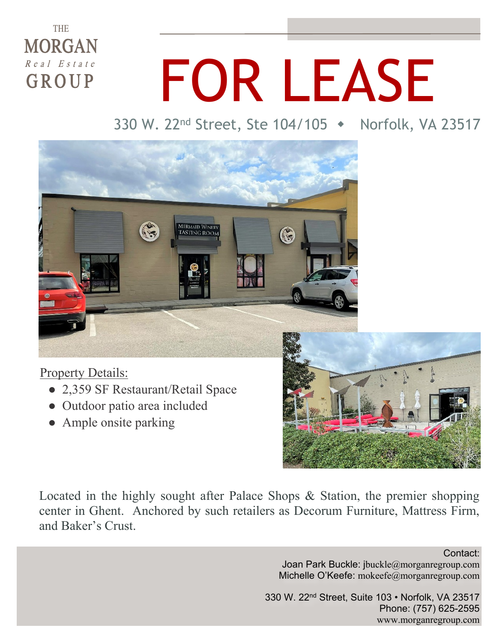### **THE MORGAN**  $\overline{R}$  e a  $I$   $E$  s t a t e GROUP

# FOR LEASE

330 W. 22<sup>nd</sup> Street, Ste 104/105 • Norfolk, VA 23517



#### Property Details:

- 2,359 SF Restaurant/Retail Space
- Outdoor patio area included
- Ample onsite parking



Located in the highly sought after Palace Shops & Station, the premier shopping center in Ghent. Anchored by such retailers as Decorum Furniture, Mattress Firm, and Baker's Crust.

> Contact: Joan Park Buckle: jbuckle@morganregroup.com Michelle O'Keefe: mokeefe@morganregroup.com

330 W. 22nd Street, Suite 103 • Norfolk, VA 23517 Phone: (757) 625-2595 www.morganregroup.com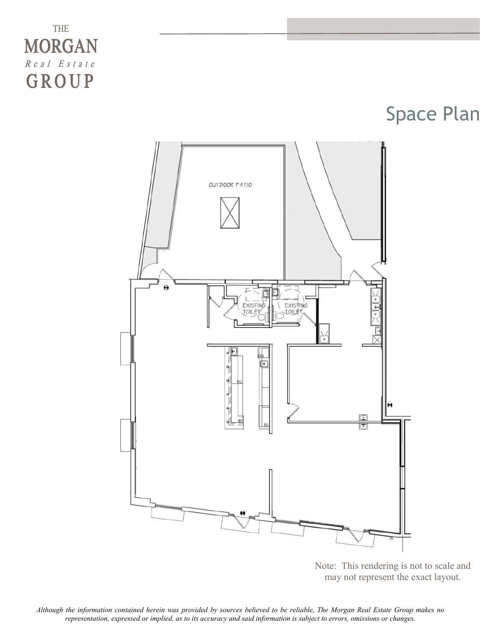### THE **MORGAN**  $R$  e a  $I$  E s t a t e GROUP

Space Plan



Note: This rendering is not to scale and may not represent the exact layout.

*Although the information contained herein was provided by sources believed to be reliable, The Morgan Real Estate Group makes no representation, expressed or implied, as to its accuracy and said information is subject to errors, omissions or changes.*